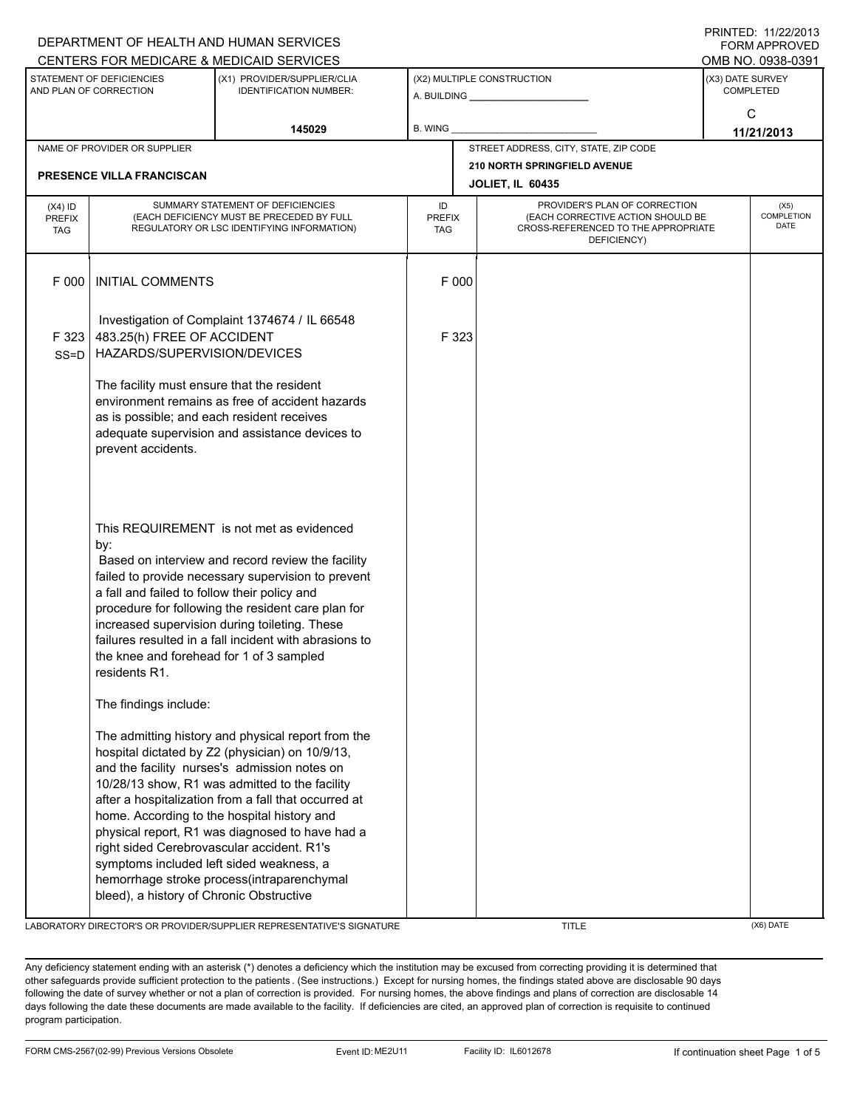|                                                     |                                                                                                                                                                                                                                                                                                                                   | DEPARTMENT OF HEALTH AND HUMAN SERVICES                                                                                                                                                                                                                                                                                                                                                                         |         |                                                                                                                          |  | I INITILU. III <i>LLIL</i> U IJ<br><b>FORM APPROVED</b> |  |
|-----------------------------------------------------|-----------------------------------------------------------------------------------------------------------------------------------------------------------------------------------------------------------------------------------------------------------------------------------------------------------------------------------|-----------------------------------------------------------------------------------------------------------------------------------------------------------------------------------------------------------------------------------------------------------------------------------------------------------------------------------------------------------------------------------------------------------------|---------|--------------------------------------------------------------------------------------------------------------------------|--|---------------------------------------------------------|--|
|                                                     |                                                                                                                                                                                                                                                                                                                                   | CENTERS FOR MEDICARE & MEDICAID SERVICES                                                                                                                                                                                                                                                                                                                                                                        |         |                                                                                                                          |  | OMB NO. 0938-0391                                       |  |
| STATEMENT OF DEFICIENCIES<br>AND PLAN OF CORRECTION |                                                                                                                                                                                                                                                                                                                                   | (X1) PROVIDER/SUPPLIER/CLIA<br><b>IDENTIFICATION NUMBER:</b>                                                                                                                                                                                                                                                                                                                                                    |         | (X2) MULTIPLE CONSTRUCTION<br>A. BUILDING A. BUILDING                                                                    |  | (X3) DATE SURVEY<br>COMPLETED                           |  |
|                                                     |                                                                                                                                                                                                                                                                                                                                   | 145029                                                                                                                                                                                                                                                                                                                                                                                                          | B. WING |                                                                                                                          |  | C<br>11/21/2013                                         |  |
|                                                     | NAME OF PROVIDER OR SUPPLIER                                                                                                                                                                                                                                                                                                      |                                                                                                                                                                                                                                                                                                                                                                                                                 |         | STREET ADDRESS, CITY, STATE, ZIP CODE                                                                                    |  |                                                         |  |
|                                                     | <b>PRESENCE VILLA FRANCISCAN</b>                                                                                                                                                                                                                                                                                                  |                                                                                                                                                                                                                                                                                                                                                                                                                 |         | 210 NORTH SPRINGFIELD AVENUE<br><b>JOLIET, IL 60435</b>                                                                  |  |                                                         |  |
| $(X4)$ ID<br><b>PREFIX</b><br><b>TAG</b>            | SUMMARY STATEMENT OF DEFICIENCIES<br>(EACH DEFICIENCY MUST BE PRECEDED BY FULL<br>REGULATORY OR LSC IDENTIFYING INFORMATION)                                                                                                                                                                                                      |                                                                                                                                                                                                                                                                                                                                                                                                                 |         | PROVIDER'S PLAN OF CORRECTION<br>(EACH CORRECTIVE ACTION SHOULD BE<br>CROSS-REFERENCED TO THE APPROPRIATE<br>DEFICIENCY) |  | (X5)<br>COMPLETION<br><b>DATE</b>                       |  |
| F 000                                               | <b>INITIAL COMMENTS</b>                                                                                                                                                                                                                                                                                                           |                                                                                                                                                                                                                                                                                                                                                                                                                 | F 000   |                                                                                                                          |  |                                                         |  |
| F 323<br>$SS = D$                                   | Investigation of Complaint 1374674 / IL 66548<br>483.25(h) FREE OF ACCIDENT<br>HAZARDS/SUPERVISION/DEVICES<br>The facility must ensure that the resident<br>environment remains as free of accident hazards<br>as is possible; and each resident receives<br>adequate supervision and assistance devices to<br>prevent accidents. |                                                                                                                                                                                                                                                                                                                                                                                                                 | F 323   |                                                                                                                          |  |                                                         |  |
|                                                     |                                                                                                                                                                                                                                                                                                                                   |                                                                                                                                                                                                                                                                                                                                                                                                                 |         |                                                                                                                          |  |                                                         |  |
|                                                     | by:<br>a fall and failed to follow their policy and<br>the knee and forehead for 1 of 3 sampled<br>residents R1.                                                                                                                                                                                                                  | This REQUIREMENT is not met as evidenced<br>Based on interview and record review the facility<br>failed to provide necessary supervision to prevent<br>procedure for following the resident care plan for<br>increased supervision during toileting. These<br>failures resulted in a fall incident with abrasions to                                                                                            |         |                                                                                                                          |  |                                                         |  |
|                                                     | The findings include:                                                                                                                                                                                                                                                                                                             |                                                                                                                                                                                                                                                                                                                                                                                                                 |         |                                                                                                                          |  |                                                         |  |
|                                                     | right sided Cerebrovascular accident. R1's<br>symptoms included left sided weakness, a<br>bleed), a history of Chronic Obstructive                                                                                                                                                                                                | The admitting history and physical report from the<br>hospital dictated by Z2 (physician) on 10/9/13,<br>and the facility nurses's admission notes on<br>10/28/13 show, R1 was admitted to the facility<br>after a hospitalization from a fall that occurred at<br>home. According to the hospital history and<br>physical report, R1 was diagnosed to have had a<br>hemorrhage stroke process(intraparenchymal |         |                                                                                                                          |  |                                                         |  |

LABORATORY DIRECTOR'S OR PROVIDER/SUPPLIER REPRESENTATIVE'S SIGNATURE TITLE THE TITLE (X6) DATE

PRINTED: 11/22/2013

Any deficiency statement ending with an asterisk (\*) denotes a deficiency which the institution may be excused from correcting providing it is determined that other safeguards provide sufficient protection to the patients . (See instructions.) Except for nursing homes, the findings stated above are disclosable 90 days following the date of survey whether or not a plan of correction is provided. For nursing homes, the above findings and plans of correction are disclosable 14 days following the date these documents are made available to the facility. If deficiencies are cited, an approved plan of correction is requisite to continued program participation.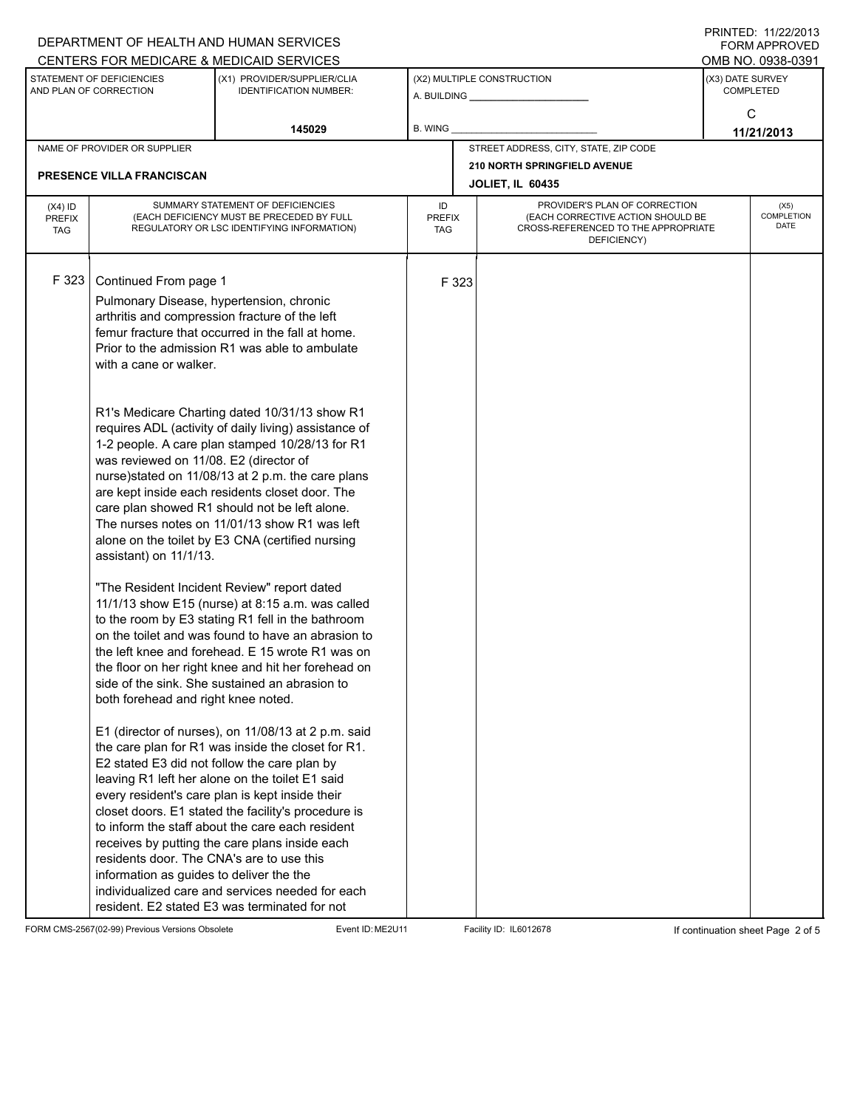|                                                                                                                                                                                                                                                               |                                                                                                                              | DEPARTMENT OF HEALTH AND HUMAN SERVICES                                                                                                                                                                                                                                                                                                                                                                                                                                                                                           |                            |                                                                                                                          |                                       |                                      | FORM APPROVED     |
|---------------------------------------------------------------------------------------------------------------------------------------------------------------------------------------------------------------------------------------------------------------|------------------------------------------------------------------------------------------------------------------------------|-----------------------------------------------------------------------------------------------------------------------------------------------------------------------------------------------------------------------------------------------------------------------------------------------------------------------------------------------------------------------------------------------------------------------------------------------------------------------------------------------------------------------------------|----------------------------|--------------------------------------------------------------------------------------------------------------------------|---------------------------------------|--------------------------------------|-------------------|
|                                                                                                                                                                                                                                                               |                                                                                                                              | CENTERS FOR MEDICARE & MEDICAID SERVICES                                                                                                                                                                                                                                                                                                                                                                                                                                                                                          |                            |                                                                                                                          |                                       |                                      | OMB NO. 0938-0391 |
| STATEMENT OF DEFICIENCIES<br>AND PLAN OF CORRECTION                                                                                                                                                                                                           |                                                                                                                              | (X1) PROVIDER/SUPPLIER/CLIA<br><b>IDENTIFICATION NUMBER:</b>                                                                                                                                                                                                                                                                                                                                                                                                                                                                      |                            | (X2) MULTIPLE CONSTRUCTION<br>A. BUILDING <b>A.</b> BUILDING                                                             |                                       | (X3) DATE SURVEY<br><b>COMPLETED</b> |                   |
|                                                                                                                                                                                                                                                               |                                                                                                                              | 145029                                                                                                                                                                                                                                                                                                                                                                                                                                                                                                                            | B. WING                    |                                                                                                                          |                                       | C<br>11/21/2013                      |                   |
|                                                                                                                                                                                                                                                               | NAME OF PROVIDER OR SUPPLIER                                                                                                 |                                                                                                                                                                                                                                                                                                                                                                                                                                                                                                                                   |                            |                                                                                                                          | STREET ADDRESS, CITY, STATE, ZIP CODE |                                      |                   |
|                                                                                                                                                                                                                                                               |                                                                                                                              |                                                                                                                                                                                                                                                                                                                                                                                                                                                                                                                                   |                            |                                                                                                                          | 210 NORTH SPRINGFIELD AVENUE          |                                      |                   |
|                                                                                                                                                                                                                                                               | <b>PRESENCE VILLA FRANCISCAN</b>                                                                                             |                                                                                                                                                                                                                                                                                                                                                                                                                                                                                                                                   |                            |                                                                                                                          | <b>JOLIET, IL 60435</b>               |                                      |                   |
| $(X4)$ ID<br><b>PREFIX</b><br><b>TAG</b>                                                                                                                                                                                                                      | SUMMARY STATEMENT OF DEFICIENCIES<br>(EACH DEFICIENCY MUST BE PRECEDED BY FULL<br>REGULATORY OR LSC IDENTIFYING INFORMATION) |                                                                                                                                                                                                                                                                                                                                                                                                                                                                                                                                   | ID<br><b>PREFIX</b><br>TAG | PROVIDER'S PLAN OF CORRECTION<br>(EACH CORRECTIVE ACTION SHOULD BE<br>CROSS-REFERENCED TO THE APPROPRIATE<br>DEFICIENCY) |                                       | (X5)<br>COMPLETION<br>DATE           |                   |
| F 323<br>Continued From page 1<br>Pulmonary Disease, hypertension, chronic<br>arthritis and compression fracture of the left<br>femur fracture that occurred in the fall at home.<br>Prior to the admission R1 was able to ambulate<br>with a cane or walker. |                                                                                                                              |                                                                                                                                                                                                                                                                                                                                                                                                                                                                                                                                   |                            | F 323                                                                                                                    |                                       |                                      |                   |
|                                                                                                                                                                                                                                                               | was reviewed on 11/08. E2 (director of<br>assistant) on 11/1/13.                                                             | R1's Medicare Charting dated 10/31/13 show R1<br>requires ADL (activity of daily living) assistance of<br>1-2 people. A care plan stamped 10/28/13 for R1<br>nurse)stated on 11/08/13 at 2 p.m. the care plans<br>are kept inside each residents closet door. The<br>care plan showed R1 should not be left alone.<br>The nurses notes on 11/01/13 show R1 was left<br>alone on the toilet by E3 CNA (certified nursing                                                                                                           |                            |                                                                                                                          |                                       |                                      |                   |
|                                                                                                                                                                                                                                                               | both forehead and right knee noted.                                                                                          | "The Resident Incident Review" report dated<br>11/1/13 show E15 (nurse) at 8:15 a.m. was called<br>to the room by E3 stating R1 fell in the bathroom<br>on the toilet and was found to have an abrasion to<br>the left knee and forehead. E 15 wrote R1 was on<br>the floor on her right knee and hit her forehead on<br>side of the sink. She sustained an abrasion to                                                                                                                                                           |                            |                                                                                                                          |                                       |                                      |                   |
|                                                                                                                                                                                                                                                               | residents door. The CNA's are to use this<br>information as guides to deliver the the                                        | E1 (director of nurses), on 11/08/13 at 2 p.m. said<br>the care plan for R1 was inside the closet for R1.<br>E2 stated E3 did not follow the care plan by<br>leaving R1 left her alone on the toilet E1 said<br>every resident's care plan is kept inside their<br>closet doors. E1 stated the facility's procedure is<br>to inform the staff about the care each resident<br>receives by putting the care plans inside each<br>individualized care and services needed for each<br>resident. E2 stated E3 was terminated for not |                            |                                                                                                                          |                                       |                                      |                   |

FORM CMS-2567(02-99) Previous Versions Obsolete Event ID: ME2U11 Facility ID: IL6012678 If continuation sheet Page 2 of 5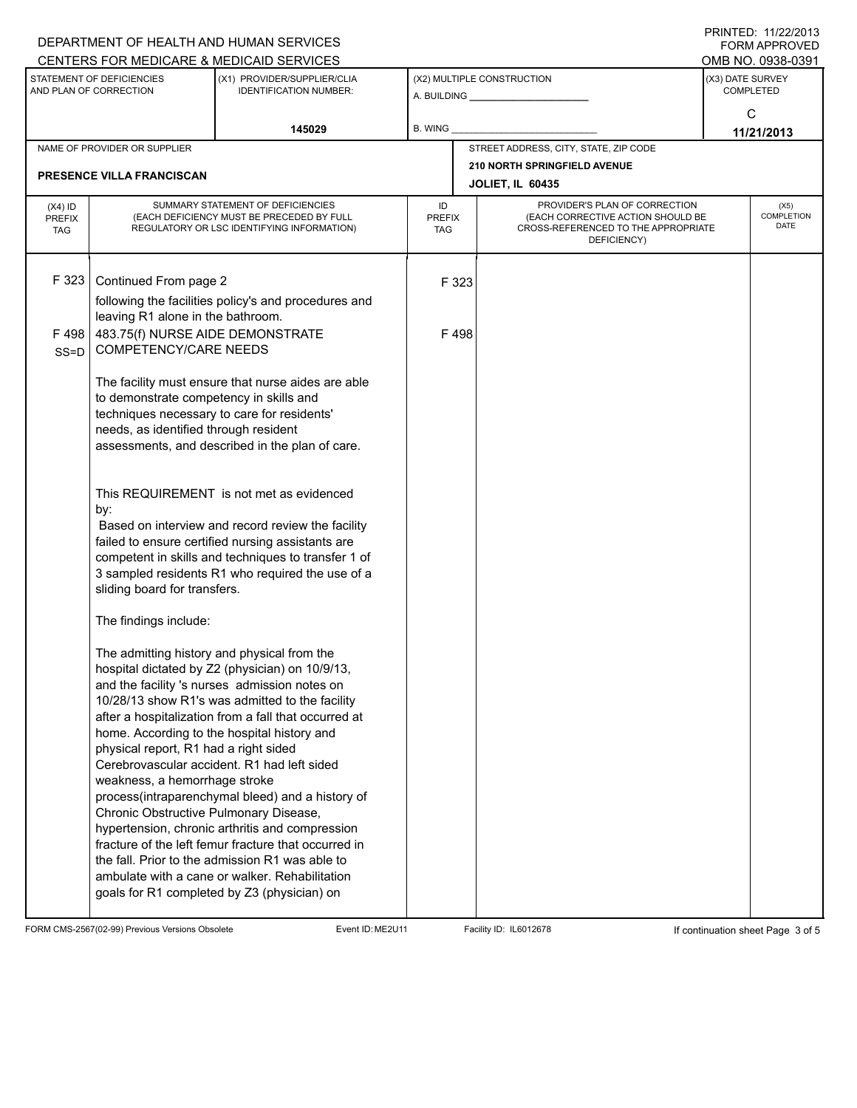|                                                     |                                         | DEPARTMENT OF HEALTH AND HUMAN SERVICES                                                                 |                      |       |                                                                          |                  | <b>FORM APPROVED</b> |  |
|-----------------------------------------------------|-----------------------------------------|---------------------------------------------------------------------------------------------------------|----------------------|-------|--------------------------------------------------------------------------|------------------|----------------------|--|
|                                                     |                                         | CENTERS FOR MEDICARE & MEDICAID SERVICES                                                                |                      |       |                                                                          |                  | OMB NO. 0938-0391    |  |
| STATEMENT OF DEFICIENCIES<br>AND PLAN OF CORRECTION |                                         | (X1) PROVIDER/SUPPLIER/CLIA<br><b>IDENTIFICATION NUMBER:</b>                                            |                      |       | (X2) MULTIPLE CONSTRUCTION<br>A. BUILDING <b>A. BUILDING</b>             | (X3) DATE SURVEY | <b>COMPLETED</b>     |  |
|                                                     |                                         |                                                                                                         |                      |       |                                                                          | C                |                      |  |
| 145029                                              |                                         |                                                                                                         | B. WING              |       |                                                                          | 11/21/2013       |                      |  |
|                                                     | NAME OF PROVIDER OR SUPPLIER            |                                                                                                         |                      |       | STREET ADDRESS, CITY, STATE, ZIP CODE                                    |                  |                      |  |
|                                                     |                                         |                                                                                                         |                      |       | 210 NORTH SPRINGFIELD AVENUE                                             |                  |                      |  |
|                                                     | PRESENCE VILLA FRANCISCAN               |                                                                                                         |                      |       | <b>JOLIET, IL 60435</b>                                                  |                  |                      |  |
| $(X4)$ ID                                           |                                         | SUMMARY STATEMENT OF DEFICIENCIES                                                                       | ID                   |       | PROVIDER'S PLAN OF CORRECTION                                            |                  | (X5)                 |  |
| <b>PREFIX</b><br><b>TAG</b>                         |                                         | (EACH DEFICIENCY MUST BE PRECEDED BY FULL<br>REGULATORY OR LSC IDENTIFYING INFORMATION)                 | <b>PREFIX</b><br>TAG |       | (EACH CORRECTIVE ACTION SHOULD BE<br>CROSS-REFERENCED TO THE APPROPRIATE |                  | COMPLETION<br>DATE   |  |
|                                                     |                                         |                                                                                                         |                      |       | DEFICIENCY)                                                              |                  |                      |  |
|                                                     |                                         |                                                                                                         |                      |       |                                                                          |                  |                      |  |
| F 323                                               | Continued From page 2                   |                                                                                                         |                      | F 323 |                                                                          |                  |                      |  |
|                                                     |                                         | following the facilities policy's and procedures and                                                    |                      |       |                                                                          |                  |                      |  |
|                                                     | leaving R1 alone in the bathroom.       |                                                                                                         |                      |       |                                                                          |                  |                      |  |
| F498                                                | 483.75(f) NURSE AIDE DEMONSTRATE        |                                                                                                         |                      | F498  |                                                                          |                  |                      |  |
| $SS = D$                                            | <b>COMPETENCY/CARE NEEDS</b>            |                                                                                                         |                      |       |                                                                          |                  |                      |  |
|                                                     |                                         | The facility must ensure that nurse aides are able                                                      |                      |       |                                                                          |                  |                      |  |
|                                                     | to demonstrate competency in skills and |                                                                                                         |                      |       |                                                                          |                  |                      |  |
|                                                     |                                         | techniques necessary to care for residents'                                                             |                      |       |                                                                          |                  |                      |  |
|                                                     | needs, as identified through resident   |                                                                                                         |                      |       |                                                                          |                  |                      |  |
|                                                     |                                         | assessments, and described in the plan of care.                                                         |                      |       |                                                                          |                  |                      |  |
|                                                     |                                         |                                                                                                         |                      |       |                                                                          |                  |                      |  |
|                                                     |                                         | This REQUIREMENT is not met as evidenced                                                                |                      |       |                                                                          |                  |                      |  |
|                                                     | by:                                     |                                                                                                         |                      |       |                                                                          |                  |                      |  |
|                                                     |                                         | Based on interview and record review the facility                                                       |                      |       |                                                                          |                  |                      |  |
|                                                     |                                         | failed to ensure certified nursing assistants are                                                       |                      |       |                                                                          |                  |                      |  |
|                                                     |                                         | competent in skills and techniques to transfer 1 of<br>3 sampled residents R1 who required the use of a |                      |       |                                                                          |                  |                      |  |
|                                                     | sliding board for transfers.            |                                                                                                         |                      |       |                                                                          |                  |                      |  |
|                                                     |                                         |                                                                                                         |                      |       |                                                                          |                  |                      |  |
|                                                     | The findings include:                   |                                                                                                         |                      |       |                                                                          |                  |                      |  |
|                                                     |                                         | The admitting history and physical from the                                                             |                      |       |                                                                          |                  |                      |  |
|                                                     |                                         | hospital dictated by Z2 (physician) on 10/9/13,                                                         |                      |       |                                                                          |                  |                      |  |
|                                                     |                                         | and the facility 's nurses admission notes on                                                           |                      |       |                                                                          |                  |                      |  |
|                                                     |                                         | 10/28/13 show R1's was admitted to the facility                                                         |                      |       |                                                                          |                  |                      |  |
|                                                     |                                         | after a hospitalization from a fall that occurred at                                                    |                      |       |                                                                          |                  |                      |  |
|                                                     |                                         | home. According to the hospital history and                                                             |                      |       |                                                                          |                  |                      |  |
|                                                     | physical report, R1 had a right sided   | Cerebrovascular accident. R1 had left sided                                                             |                      |       |                                                                          |                  |                      |  |
|                                                     | weakness, a hemorrhage stroke           |                                                                                                         |                      |       |                                                                          |                  |                      |  |
|                                                     |                                         | process(intraparenchymal bleed) and a history of                                                        |                      |       |                                                                          |                  |                      |  |
|                                                     | Chronic Obstructive Pulmonary Disease,  |                                                                                                         |                      |       |                                                                          |                  |                      |  |
|                                                     |                                         | hypertension, chronic arthritis and compression                                                         |                      |       |                                                                          |                  |                      |  |
|                                                     |                                         | fracture of the left femur fracture that occurred in                                                    |                      |       |                                                                          |                  |                      |  |
|                                                     |                                         | the fall. Prior to the admission R1 was able to                                                         |                      |       |                                                                          |                  |                      |  |
|                                                     |                                         | ambulate with a cane or walker. Rehabilitation<br>goals for R1 completed by Z3 (physician) on           |                      |       |                                                                          |                  |                      |  |
|                                                     |                                         |                                                                                                         |                      |       |                                                                          |                  |                      |  |

FORM CMS-2567(02-99) Previous Versions Obsolete Event ID: ME2U11 Facility ID: IL6012678 If continuation sheet Page 3 of 5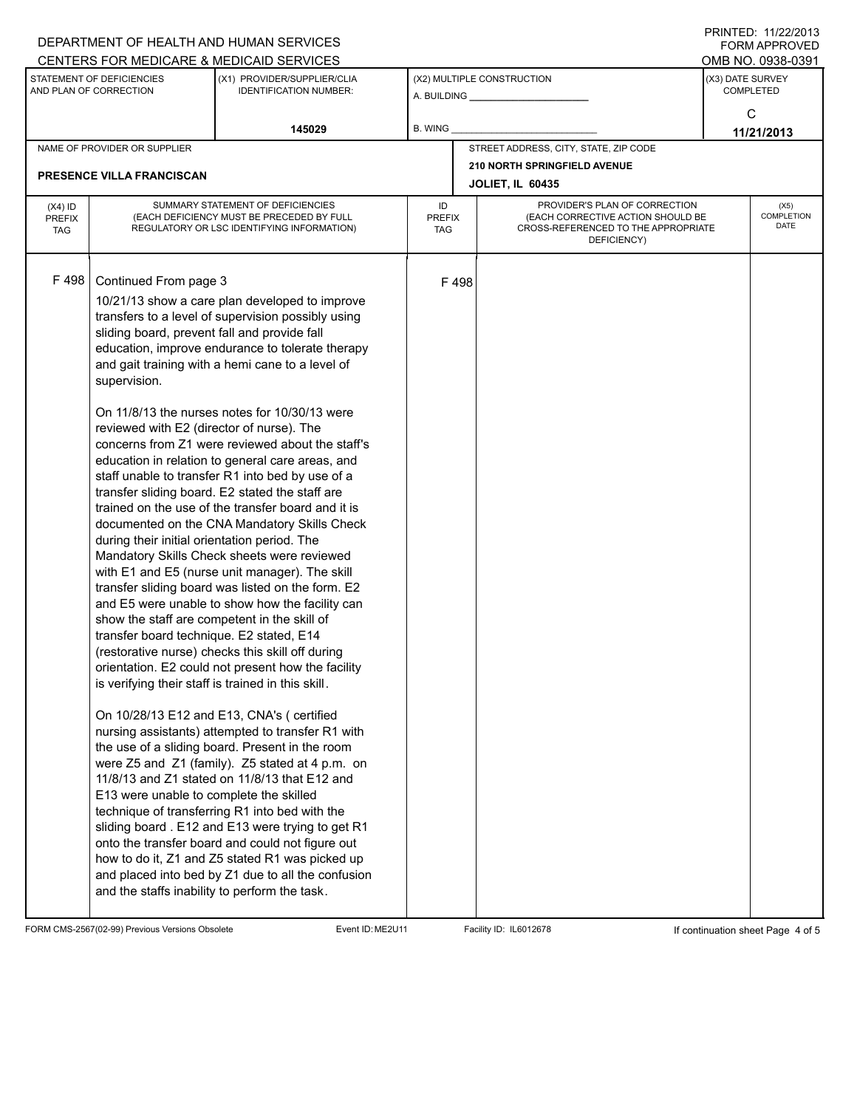| DEPARTMENT OF HEALTH AND HUMAN SERVICES             |                                                                                                                                                                                                                                                                                                                                                                                                                                                                                                                                                                                                                                                                                                                                                                                                                                                                                                                                                                                                                                                                                                                                                                                                                                                                                                                                                                                                                                                                                                                                                                                                                                                                                                                                                                                                                                                                                                       |                                          |                                   |                                                                                                                          |                                       |                                      | !!\!!\!LD.!!/ <i>LL!L</i> 0!0<br>FORM APPROVED |  |
|-----------------------------------------------------|-------------------------------------------------------------------------------------------------------------------------------------------------------------------------------------------------------------------------------------------------------------------------------------------------------------------------------------------------------------------------------------------------------------------------------------------------------------------------------------------------------------------------------------------------------------------------------------------------------------------------------------------------------------------------------------------------------------------------------------------------------------------------------------------------------------------------------------------------------------------------------------------------------------------------------------------------------------------------------------------------------------------------------------------------------------------------------------------------------------------------------------------------------------------------------------------------------------------------------------------------------------------------------------------------------------------------------------------------------------------------------------------------------------------------------------------------------------------------------------------------------------------------------------------------------------------------------------------------------------------------------------------------------------------------------------------------------------------------------------------------------------------------------------------------------------------------------------------------------------------------------------------------------|------------------------------------------|-----------------------------------|--------------------------------------------------------------------------------------------------------------------------|---------------------------------------|--------------------------------------|------------------------------------------------|--|
|                                                     |                                                                                                                                                                                                                                                                                                                                                                                                                                                                                                                                                                                                                                                                                                                                                                                                                                                                                                                                                                                                                                                                                                                                                                                                                                                                                                                                                                                                                                                                                                                                                                                                                                                                                                                                                                                                                                                                                                       | CENTERS FOR MEDICARE & MEDICAID SERVICES |                                   |                                                                                                                          |                                       |                                      | OMB NO. 0938-0391                              |  |
| STATEMENT OF DEFICIENCIES<br>AND PLAN OF CORRECTION |                                                                                                                                                                                                                                                                                                                                                                                                                                                                                                                                                                                                                                                                                                                                                                                                                                                                                                                                                                                                                                                                                                                                                                                                                                                                                                                                                                                                                                                                                                                                                                                                                                                                                                                                                                                                                                                                                                       | (X1) PROVIDER/SUPPLIER/CLIA              |                                   |                                                                                                                          | (X2) MULTIPLE CONSTRUCTION            | (X3) DATE SURVEY<br><b>COMPLETED</b> |                                                |  |
|                                                     |                                                                                                                                                                                                                                                                                                                                                                                                                                                                                                                                                                                                                                                                                                                                                                                                                                                                                                                                                                                                                                                                                                                                                                                                                                                                                                                                                                                                                                                                                                                                                                                                                                                                                                                                                                                                                                                                                                       | <b>IDENTIFICATION NUMBER:</b>            |                                   |                                                                                                                          | A. BUILDING ________________          |                                      |                                                |  |
|                                                     |                                                                                                                                                                                                                                                                                                                                                                                                                                                                                                                                                                                                                                                                                                                                                                                                                                                                                                                                                                                                                                                                                                                                                                                                                                                                                                                                                                                                                                                                                                                                                                                                                                                                                                                                                                                                                                                                                                       | 145029                                   | B. WING                           |                                                                                                                          |                                       |                                      | C                                              |  |
|                                                     |                                                                                                                                                                                                                                                                                                                                                                                                                                                                                                                                                                                                                                                                                                                                                                                                                                                                                                                                                                                                                                                                                                                                                                                                                                                                                                                                                                                                                                                                                                                                                                                                                                                                                                                                                                                                                                                                                                       |                                          |                                   |                                                                                                                          | STREET ADDRESS, CITY, STATE, ZIP CODE | 11/21/2013                           |                                                |  |
|                                                     |                                                                                                                                                                                                                                                                                                                                                                                                                                                                                                                                                                                                                                                                                                                                                                                                                                                                                                                                                                                                                                                                                                                                                                                                                                                                                                                                                                                                                                                                                                                                                                                                                                                                                                                                                                                                                                                                                                       |                                          |                                   |                                                                                                                          | 210 NORTH SPRINGFIELD AVENUE          |                                      |                                                |  |
|                                                     | <b>PRESENCE VILLA FRANCISCAN</b>                                                                                                                                                                                                                                                                                                                                                                                                                                                                                                                                                                                                                                                                                                                                                                                                                                                                                                                                                                                                                                                                                                                                                                                                                                                                                                                                                                                                                                                                                                                                                                                                                                                                                                                                                                                                                                                                      |                                          |                                   |                                                                                                                          | <b>JOLIET, IL 60435</b>               |                                      |                                                |  |
| $(X4)$ ID<br><b>PREFIX</b><br><b>TAG</b>            | SUMMARY STATEMENT OF DEFICIENCIES<br>(EACH DEFICIENCY MUST BE PRECEDED BY FULL<br>REGULATORY OR LSC IDENTIFYING INFORMATION)                                                                                                                                                                                                                                                                                                                                                                                                                                                                                                                                                                                                                                                                                                                                                                                                                                                                                                                                                                                                                                                                                                                                                                                                                                                                                                                                                                                                                                                                                                                                                                                                                                                                                                                                                                          |                                          | ID<br><b>PREFIX</b><br><b>TAG</b> | PROVIDER'S PLAN OF CORRECTION<br>(EACH CORRECTIVE ACTION SHOULD BE<br>CROSS-REFERENCED TO THE APPROPRIATE<br>DEFICIENCY) |                                       | (X5)<br>COMPLETION<br>DATE           |                                                |  |
| F498                                                | NAME OF PROVIDER OR SUPPLIER<br>Continued From page 3<br>10/21/13 show a care plan developed to improve<br>transfers to a level of supervision possibly using<br>sliding board, prevent fall and provide fall<br>education, improve endurance to tolerate therapy<br>and gait training with a hemi cane to a level of<br>supervision.<br>On 11/8/13 the nurses notes for 10/30/13 were<br>reviewed with E2 (director of nurse). The<br>concerns from Z1 were reviewed about the staff's<br>education in relation to general care areas, and<br>staff unable to transfer R1 into bed by use of a<br>transfer sliding board. E2 stated the staff are<br>trained on the use of the transfer board and it is<br>documented on the CNA Mandatory Skills Check<br>during their initial orientation period. The<br>Mandatory Skills Check sheets were reviewed<br>with E1 and E5 (nurse unit manager). The skill<br>transfer sliding board was listed on the form. E2<br>and E5 were unable to show how the facility can<br>show the staff are competent in the skill of<br>transfer board technique. E2 stated, E14<br>(restorative nurse) checks this skill off during<br>orientation. E2 could not present how the facility<br>is verifying their staff is trained in this skill.<br>On 10/28/13 E12 and E13, CNA's (certified<br>nursing assistants) attempted to transfer R1 with<br>the use of a sliding board. Present in the room<br>were Z5 and Z1 (family). Z5 stated at 4 p.m. on<br>11/8/13 and Z1 stated on 11/8/13 that E12 and<br>E13 were unable to complete the skilled<br>technique of transferring R1 into bed with the<br>sliding board. E12 and E13 were trying to get R1<br>onto the transfer board and could not figure out<br>how to do it, Z1 and Z5 stated R1 was picked up<br>and placed into bed by Z1 due to all the confusion<br>and the staffs inability to perform the task. |                                          |                                   | F498                                                                                                                     |                                       |                                      |                                                |  |

FORM CMS-2567(02-99) Previous Versions Obsolete Event ID: ME2U11 Facility ID: IL6012678 If continuation sheet Page 4 of 5